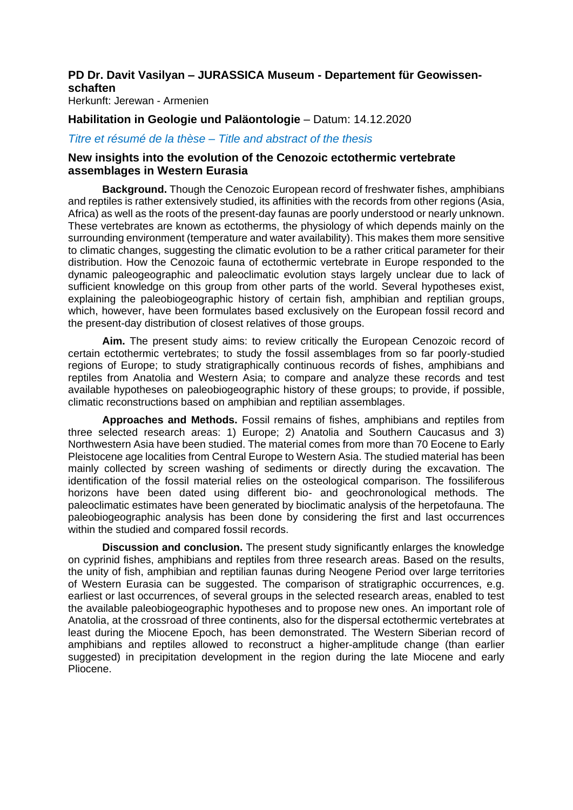# **PD Dr. Davit Vasilyan – JURASSICA Museum - Departement für Geowissenschaften**

Herkunft: Jerewan - Armenien

## **Habilitation in Geologie und Paläontologie** – Datum: 14.12.2020

### *Titre et résumé de la thèse – Title and abstract of the thesis*

### **New insights into the evolution of the Cenozoic ectothermic vertebrate assemblages in Western Eurasia**

**Background.** Though the Cenozoic European record of freshwater fishes, amphibians and reptiles is rather extensively studied, its affinities with the records from other regions (Asia, Africa) as well as the roots of the present-day faunas are poorly understood or nearly unknown. These vertebrates are known as ectotherms, the physiology of which depends mainly on the surrounding environment (temperature and water availability). This makes them more sensitive to climatic changes, suggesting the climatic evolution to be a rather critical parameter for their distribution. How the Cenozoic fauna of ectothermic vertebrate in Europe responded to the dynamic paleogeographic and paleoclimatic evolution stays largely unclear due to lack of sufficient knowledge on this group from other parts of the world. Several hypotheses exist, explaining the paleobiogeographic history of certain fish, amphibian and reptilian groups, which, however, have been formulates based exclusively on the European fossil record and the present-day distribution of closest relatives of those groups.

**Aim.** The present study aims: to review critically the European Cenozoic record of certain ectothermic vertebrates; to study the fossil assemblages from so far poorly-studied regions of Europe; to study stratigraphically continuous records of fishes, amphibians and reptiles from Anatolia and Western Asia; to compare and analyze these records and test available hypotheses on paleobiogeographic history of these groups; to provide, if possible, climatic reconstructions based on amphibian and reptilian assemblages.

**Approaches and Methods.** Fossil remains of fishes, amphibians and reptiles from three selected research areas: 1) Europe; 2) Anatolia and Southern Caucasus and 3) Northwestern Asia have been studied. The material comes from more than 70 Eocene to Early Pleistocene age localities from Central Europe to Western Asia. The studied material has been mainly collected by screen washing of sediments or directly during the excavation. The identification of the fossil material relies on the osteological comparison. The fossiliferous horizons have been dated using different bio- and geochronological methods. The paleoclimatic estimates have been generated by bioclimatic analysis of the herpetofauna. The paleobiogeographic analysis has been done by considering the first and last occurrences within the studied and compared fossil records.

**Discussion and conclusion.** The present study significantly enlarges the knowledge on cyprinid fishes, amphibians and reptiles from three research areas. Based on the results, the unity of fish, amphibian and reptilian faunas during Neogene Period over large territories of Western Eurasia can be suggested. The comparison of stratigraphic occurrences, e.g. earliest or last occurrences, of several groups in the selected research areas, enabled to test the available paleobiogeographic hypotheses and to propose new ones. An important role of Anatolia, at the crossroad of three continents, also for the dispersal ectothermic vertebrates at least during the Miocene Epoch, has been demonstrated. The Western Siberian record of amphibians and reptiles allowed to reconstruct a higher-amplitude change (than earlier suggested) in precipitation development in the region during the late Miocene and early Pliocene.